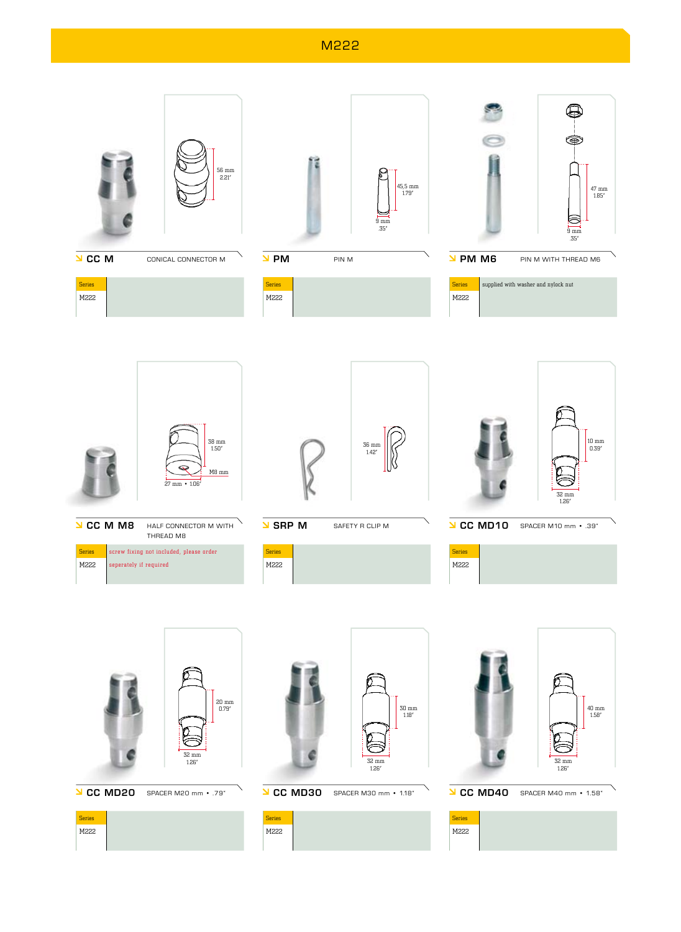M222





**J CC MD20** SPACER M20 mm · .79"





- 
- **J CC MD40** SPACER M40 mm · 1.58" Series M222

32 mm 1.26"

- **J CC MD30** SPACER M30 mm · 1.18"
- Series

M222

- 
- 

32 mm 1.26"

47 mm 1.85"

10 mm 0.39"

40 mm 1.58"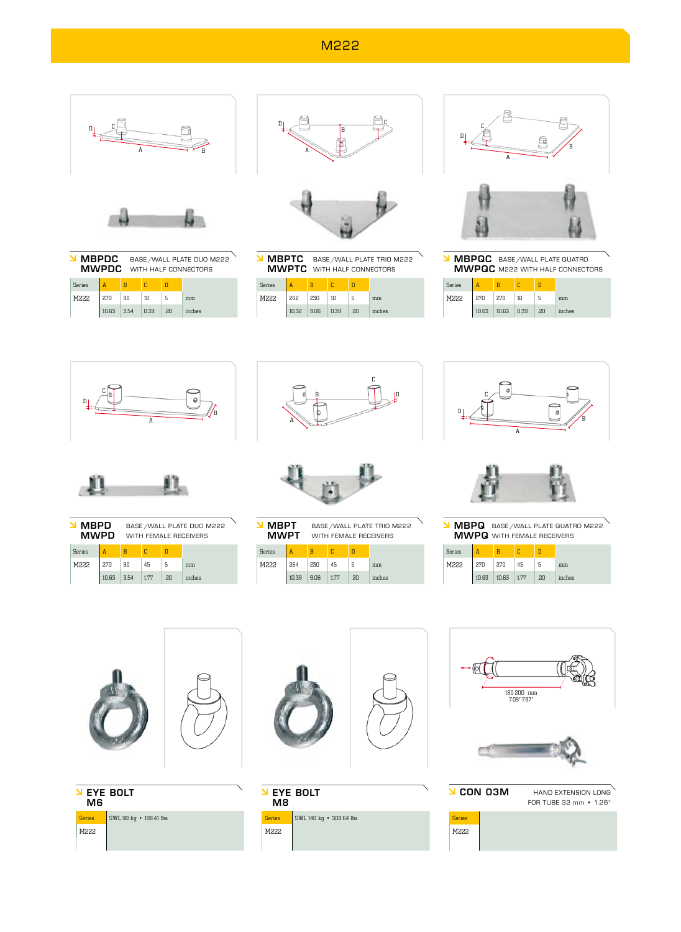## M222



|        | <b>MBPDC</b><br><b>MWPDC</b> |      | BASE / WALL PLATE DUO M222<br>WITH HALF CONNECTORS |            |        |  |  |
|--------|------------------------------|------|----------------------------------------------------|------------|--------|--|--|
| Series | A                            | R    |                                                    |            |        |  |  |
| M222   | 270                          | 90   | 1 <sub>0</sub>                                     | 5          | mm     |  |  |
|        | 10.63                        | 3.54 | n.39                                               | $.2\Omega$ | inches |  |  |



MBPTC **MBPTC** BASE/WALL PLATE TRIO M222<br>MWPTC WITH HALF CONNECTORS WITH HALF CONNECTORS

| <b>Series</b> |       |      |      |     |        |
|---------------|-------|------|------|-----|--------|
| M222          | 262   | 230  | 10   |     | mm     |
|               | 10.32 | 9.06 | 0.39 | .20 | inches |



MBPQC **MBPQC** BASE/WALL PLATE QUATRO<br>**MWPQC** M222 WITH HALF CONNECT M222 WITH HALF CONNECTORS

| <b>Series</b> |     |                  |    |                              |        |
|---------------|-----|------------------|----|------------------------------|--------|
| M222          | 270 | 270              | 10 |                              | mm     |
|               |     | 10.63 10.63 0.39 |    | $\overline{\phantom{0}}$ .20 | inches |
|               |     |                  |    |                              |        |





| MBPD<br>MWPD |       | BASE / WALL PLATE DUO M222<br>WITH FFMALE RECEIVERS |      |     |        |  |
|--------------|-------|-----------------------------------------------------|------|-----|--------|--|
| Series       | A     | R                                                   |      | n   |        |  |
| M222         | 270   | 90                                                  | 45   | 5   | mm     |  |
|              | 10.63 | 3.54                                                | 1.77 | .20 | inches |  |





MBPT MWPT BASE/WALL PLATE TRIO M222 WITH FEMALE RECEIVERS

| <b>Series</b> |       |      |      |     |        |
|---------------|-------|------|------|-----|--------|
| M222          | 264   | 230  | 45   |     | mm     |
|               | 10.39 | 9.06 | 1.77 | .20 | inches |





MBPQ **MBPQ** BASE/WALL PLATE QUATRO M222<br>**MWPQ** WITH FEMALE RECEIVERS WITH FEMALE RECEIVERS

| <b>Series</b> |     |                  |    |     |        |
|---------------|-----|------------------|----|-----|--------|
| M222          | 270 | 270              | 45 |     | mm     |
|               |     | 10.63 10.63 1.77 |    | .20 | inches |









**N EYE BOLT** M<sub>8</sub>  $\overline{\phantom{0}$  Series  $\overline{\phantom{0}}$  SWL 140 kg  $\overline{\phantom{0}}$  308.64 lbs M222